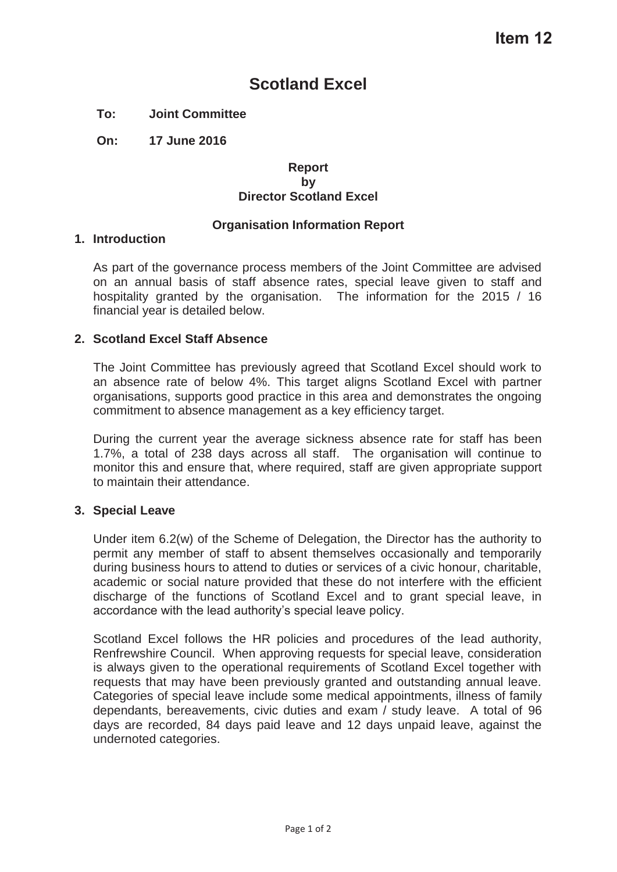# **Scotland Excel**

# **To: Joint Committee**

**On: 17 June 2016** 

#### **Report by Director Scotland Excel**

## **Organisation Information Report**

#### **1. Introduction**

As part of the governance process members of the Joint Committee are advised on an annual basis of staff absence rates, special leave given to staff and hospitality granted by the organisation. The information for the 2015 / 16 financial year is detailed below.

## **2. Scotland Excel Staff Absence**

The Joint Committee has previously agreed that Scotland Excel should work to an absence rate of below 4%. This target aligns Scotland Excel with partner organisations, supports good practice in this area and demonstrates the ongoing commitment to absence management as a key efficiency target.

During the current year the average sickness absence rate for staff has been 1.7%, a total of 238 days across all staff. The organisation will continue to monitor this and ensure that, where required, staff are given appropriate support to maintain their attendance.

#### **3. Special Leave**

Under item 6.2(w) of the Scheme of Delegation, the Director has the authority to permit any member of staff to absent themselves occasionally and temporarily during business hours to attend to duties or services of a civic honour, charitable, academic or social nature provided that these do not interfere with the efficient discharge of the functions of Scotland Excel and to grant special leave, in accordance with the lead authority's special leave policy.

Scotland Excel follows the HR policies and procedures of the lead authority, Renfrewshire Council. When approving requests for special leave, consideration is always given to the operational requirements of Scotland Excel together with requests that may have been previously granted and outstanding annual leave. Categories of special leave include some medical appointments, illness of family dependants, bereavements, civic duties and exam / study leave. A total of 96 days are recorded, 84 days paid leave and 12 days unpaid leave, against the undernoted categories.